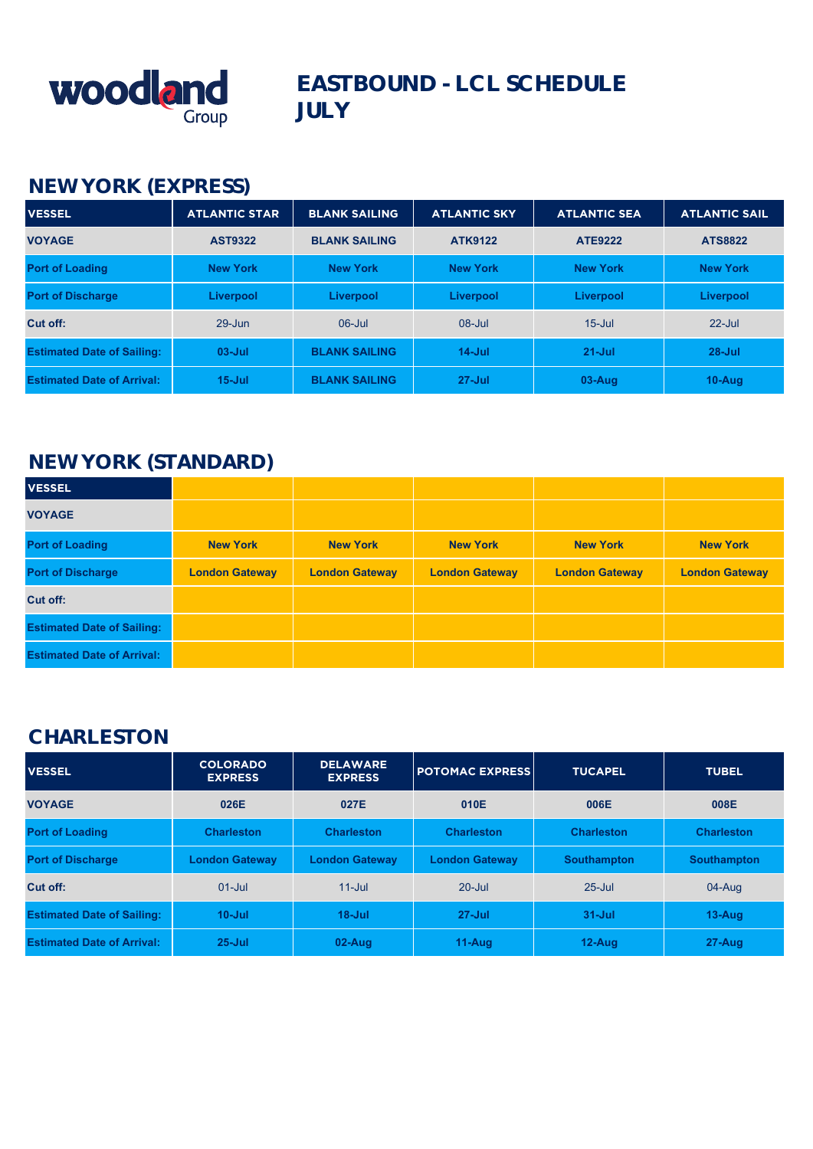

## **EASTBOUND - LCL SCHEDULE JULY**

### **NEW YORK (EXPRESS)**

| <b>VESSEL</b>                     | <b>ATLANTIC STAR</b> | <b>BLANK SAILING</b> | <b>ATLANTIC SKY</b> | <b>ATLANTIC SEA</b> | <b>ATLANTIC SAIL</b> |
|-----------------------------------|----------------------|----------------------|---------------------|---------------------|----------------------|
| <b>VOYAGE</b>                     | <b>AST9322</b>       | <b>BLANK SAILING</b> | <b>ATK9122</b>      | <b>ATE9222</b>      | <b>ATS8822</b>       |
| <b>Port of Loading</b>            | <b>New York</b>      | <b>New York</b>      | <b>New York</b>     | <b>New York</b>     | <b>New York</b>      |
| <b>Port of Discharge</b>          | Liverpool            | Liverpool            | Liverpool           | Liverpool           | Liverpool            |
| Cut off:                          | $29 - Jun$           | $06$ -Jul            | $08 -$ Jul          | $15$ -Jul           | $22$ -Jul            |
| <b>Estimated Date of Sailing:</b> | $03 -$ Jul           | <b>BLANK SAILING</b> | $14$ -Jul           | $21 -$ Jul          | $28 -$ Jul           |
| <b>Estimated Date of Arrival:</b> | $15 -$ Jul           | <b>BLANK SAILING</b> | $27 -$ Jul          | $03-Auq$            | $10-Au$ g            |

### **NEW YORK (STANDARD)**

| <b>VESSEL</b>                     |                       |                       |                       |                       |                       |
|-----------------------------------|-----------------------|-----------------------|-----------------------|-----------------------|-----------------------|
| <b>VOYAGE</b>                     |                       |                       |                       |                       |                       |
| <b>Port of Loading</b>            | <b>New York</b>       | <b>New York</b>       | <b>New York</b>       | <b>New York</b>       | <b>New York</b>       |
| <b>Port of Discharge</b>          | <b>London Gateway</b> | <b>London Gateway</b> | <b>London Gateway</b> | <b>London Gateway</b> | <b>London Gateway</b> |
| Cut off:                          |                       |                       |                       |                       |                       |
| <b>Estimated Date of Sailing:</b> |                       |                       |                       |                       |                       |
| <b>Estimated Date of Arrival:</b> |                       |                       |                       |                       |                       |

#### **CHARLESTON**

| <b>VESSEL</b>                     | <b>COLORADO</b><br><b>EXPRESS</b> | <b>DELAWARE</b><br><b>EXPRESS</b> | <b>POTOMAC EXPRESS</b> | <b>TUCAPEL</b>     | <b>TUBEL</b>       |
|-----------------------------------|-----------------------------------|-----------------------------------|------------------------|--------------------|--------------------|
| <b>VOYAGE</b>                     | 026E                              | 027E                              | 010E                   | 006E               | 008E               |
| <b>Port of Loading</b>            | <b>Charleston</b>                 | <b>Charleston</b>                 | <b>Charleston</b>      | <b>Charleston</b>  | <b>Charleston</b>  |
| <b>Port of Discharge</b>          | <b>London Gateway</b>             | <b>London Gateway</b>             | <b>London Gateway</b>  | <b>Southampton</b> | <b>Southampton</b> |
| Cut off:                          | $01$ -Jul                         | $11$ -Jul                         | $20 -$ Jul             | $25 -$ Jul         | 04-Aug             |
| <b>Estimated Date of Sailing:</b> | $10 -$ Jul                        | $18 -$ Jul                        | $27 -$ Jul             | $31 -$ Jul         | $13 - Aug$         |
| <b>Estimated Date of Arrival:</b> | $25 -$ Jul                        | $02-Auq$                          | $11-Auq$               | $12-Auq$           | $27 - Aug$         |